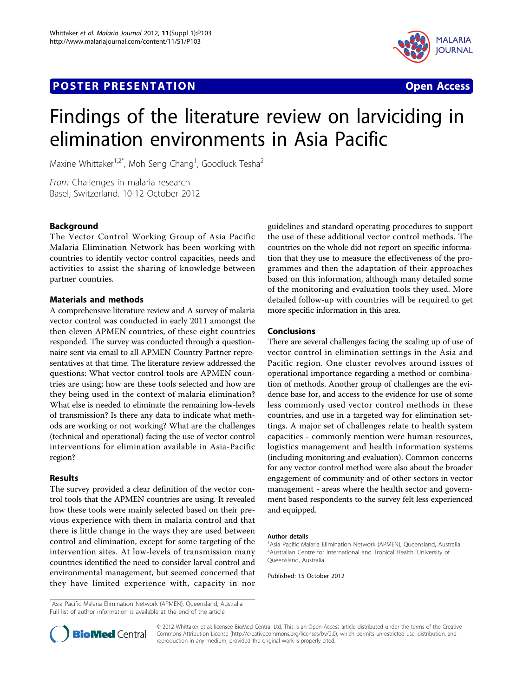## **POSTER PRESENTATION CONSUMING THE SERVICE SERVICE SERVICES**



# Findings of the literature review on larviciding in elimination environments in Asia Pacific

Maxine Whittaker<sup>1,2\*</sup>, Moh Seng Chang<sup>1</sup>, Goodluck Tesha<sup>2</sup>

From Challenges in malaria research Basel, Switzerland. 10-12 October 2012

### Background

The Vector Control Working Group of Asia Pacific Malaria Elimination Network has been working with countries to identify vector control capacities, needs and activities to assist the sharing of knowledge between partner countries.

#### Materials and methods

A comprehensive literature review and A survey of malaria vector control was conducted in early 2011 amongst the then eleven APMEN countries, of these eight countries responded. The survey was conducted through a questionnaire sent via email to all APMEN Country Partner representatives at that time. The literature review addressed the questions: What vector control tools are APMEN countries are using; how are these tools selected and how are they being used in the context of malaria elimination? What else is needed to eliminate the remaining low-levels of transmission? Is there any data to indicate what methods are working or not working? What are the challenges (technical and operational) facing the use of vector control interventions for elimination available in Asia-Pacific region?

#### Results

The survey provided a clear definition of the vector control tools that the APMEN countries are using. It revealed how these tools were mainly selected based on their previous experience with them in malaria control and that there is little change in the ways they are used between control and elimination, except for some targeting of the intervention sites. At low-levels of transmission many countries identified the need to consider larval control and environmental management, but seemed concerned that they have limited experience with, capacity in nor

guidelines and standard operating procedures to support the use of these additional vector control methods. The countries on the whole did not report on specific information that they use to measure the effectiveness of the programmes and then the adaptation of their approaches based on this information, although many detailed some of the monitoring and evaluation tools they used. More detailed follow-up with countries will be required to get more specific information in this area.

#### Conclusions

There are several challenges facing the scaling up of use of vector control in elimination settings in the Asia and Pacific region. One cluster revolves around issues of operational importance regarding a method or combination of methods. Another group of challenges are the evidence base for, and access to the evidence for use of some less commonly used vector control methods in these countries, and use in a targeted way for elimination settings. A major set of challenges relate to health system capacities - commonly mention were human resources, logistics management and health information systems (including monitoring and evaluation). Common concerns for any vector control method were also about the broader engagement of community and of other sectors in vector management - areas where the health sector and government based respondents to the survey felt less experienced and equipped.

#### Author details

<sup>1</sup> Asia Pacific Malaria Elimination Network (APMEN), Queensland, Australia <sup>2</sup> Australian Centre for International and Tropical Health, University of Queensland, Australia.

Published: 15 October 2012

<sup>1</sup> Asia Pacific Malaria Elimination Network (APMEN), Queensland, Australia Full list of author information is available at the end of the article



© 2012 Whittaker et al; licensee BioMed Central Ltd. This is an Open Access article distributed under the terms of the Creative Commons Attribution License [\(http://creativecommons.org/licenses/by/2.0](http://creativecommons.org/licenses/by/2.0)), which permits unrestricted use, distribution, and reproduction in any medium, provided the original work is properly cited.